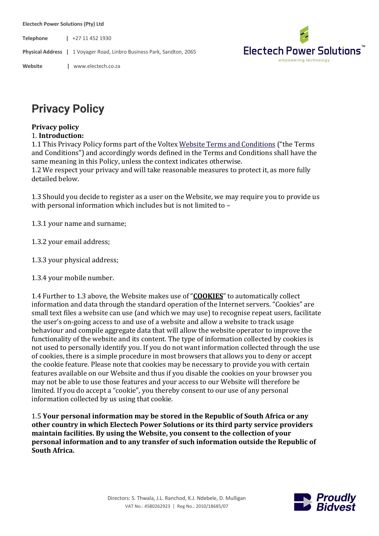**Electech Power Solutions (Pty) Ltd**

**Telephone |** +27 11 452 1930

**Physical Address |** 1 Voyager Road, Linbro Business Park, Sandton, 2065



**Website |** www.electech.co.za

## **Privacy Policy**

## **Privacy policy**

## 1. **Introduction:**

1.1 This Privacy Policy forms part of the Voltex Website Terms and Conditions ("the Terms") and Conditions") and accordingly words defined in the Terms and Conditions shall have the same meaning in this Policy, unless the context indicates otherwise.

1.2 We respect your privacy and will take reasonable measures to protect it, as more fully detailed below.

1.3 Should you decide to register as a user on the Website, we may require you to provide us with personal information which includes but is not limited to  $-$ 

1.3.1 your name and surname;

- 1.3.2 your email address;
- 1.3.3 your physical address;
- 1.3.4 your mobile number.

1.4 Further to 1.3 above, the Website makes use of "**COOKIES**" to automatically collect information and data through the standard operation of the Internet servers. "Cookies" are small text files a website can use (and which we may use) to recognise repeat users, facilitate the user's on-going access to and use of a website and allow a website to track usage behaviour and compile aggregate data that will allow the website operator to improve the functionality of the website and its content. The type of information collected by cookies is not used to personally identify you. If you do not want information collected through the use of cookies, there is a simple procedure in most browsers that allows you to deny or accept the cookie feature. Please note that cookies may be necessary to provide you with certain features available on our Website and thus if you disable the cookies on your browser you may not be able to use those features and your access to our Website will therefore be limited. If you do accept a "cookie", you thereby consent to our use of any personal information collected by us using that cookie.

1.5 **Your personal information may be stored in the Republic of South Africa or any other country in which Electech Power Solutions or its third party service providers maintain facilities. By using the Website, you consent to the collection of your personal information and to any transfer of such information outside the Republic of South Africa.**

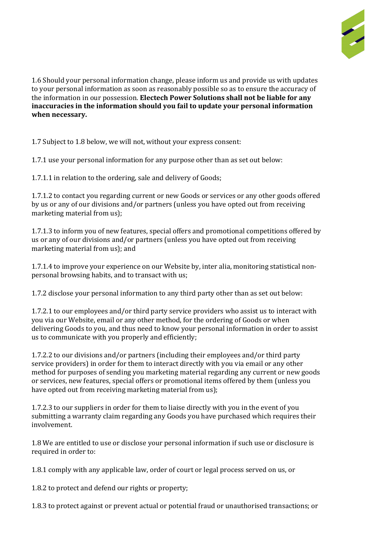

1.6 Should your personal information change, please inform us and provide us with updates to vour personal information as soon as reasonably possible so as to ensure the accuracy of the information in our possession. **Electech Power Solutions shall not be liable for any inaccuracies in the information should you fail to update your personal information when necessary.**

1.7 Subject to 1.8 below, we will not, without your express consent:

1.7.1 use your personal information for any purpose other than as set out below:

1.7.1.1 in relation to the ordering, sale and delivery of Goods;

1.7.1.2 to contact you regarding current or new Goods or services or any other goods offered by us or any of our divisions and/or partners (unless you have opted out from receiving marketing material from us);

1.7.1.3 to inform you of new features, special offers and promotional competitions offered by us or any of our divisions and/or partners (unless you have opted out from receiving marketing material from us); and

1.7.1.4 to improve your experience on our Website by, inter alia, monitoring statistical nonpersonal browsing habits, and to transact with us;

1.7.2 disclose your personal information to any third party other than as set out below:

1.7.2.1 to our employees and/or third party service providers who assist us to interact with you via our Website, email or any other method, for the ordering of Goods or when delivering Goods to you, and thus need to know your personal information in order to assist us to communicate with you properly and efficiently;

1.7.2.2 to our divisions and/or partners (including their employees and/or third party service providers) in order for them to interact directly with you via email or any other method for purposes of sending you marketing material regarding any current or new goods or services, new features, special offers or promotional items offered by them (unless you have opted out from receiving marketing material from us);

1.7.2.3 to our suppliers in order for them to liaise directly with you in the event of you submitting a warranty claim regarding any Goods you have purchased which requires their involvement.

1.8 We are entitled to use or disclose your personal information if such use or disclosure is required in order to:

1.8.1 comply with any applicable law, order of court or legal process served on us, or

1.8.2 to protect and defend our rights or property;

1.8.3 to protect against or prevent actual or potential fraud or unauthorised transactions; or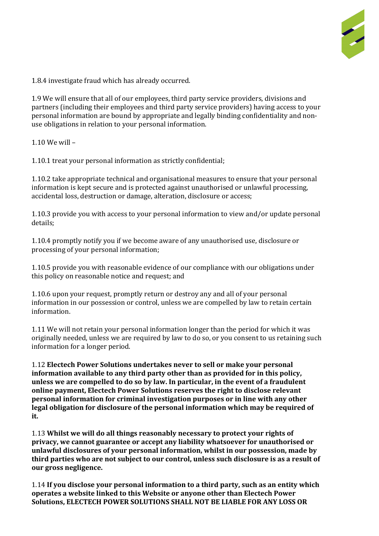

1.8.4 investigate fraud which has already occurred.

1.9 We will ensure that all of our employees, third party service providers, divisions and partners (including their employees and third party service providers) having access to your personal information are bound by appropriate and legally binding confidentiality and nonuse obligations in relation to your personal information.

 $1.10$  We will  $-$ 

1.10.1 treat your personal information as strictly confidential;

1.10.2 take appropriate technical and organisational measures to ensure that your personal information is kept secure and is protected against unauthorised or unlawful processing, accidental loss, destruction or damage, alteration, disclosure or access;

1.10.3 provide you with access to your personal information to view and/or update personal details;

1.10.4 promptly notify you if we become aware of any unauthorised use, disclosure or processing of your personal information;

1.10.5 provide you with reasonable evidence of our compliance with our obligations under this policy on reasonable notice and request; and

1.10.6 upon your request, promptly return or destroy any and all of your personal information in our possession or control, unless we are compelled by law to retain certain information.

1.11 We will not retain your personal information longer than the period for which it was originally needed, unless we are required by law to do so, or you consent to us retaining such information for a longer period.

1.12 **Electech Power Solutions undertakes never to sell or make your personal information available to any third party other than as provided for in this policy, unless we are compelled to do so by law. In particular, in the event of a fraudulent online payment, Electech Power Solutions reserves the right to disclose relevant personal information for criminal investigation purposes or in line with any other legal obligation for disclosure of the personal information which may be required of it.**

1.13 **Whilst we will do all things reasonably necessary to protect your rights of privacy, we cannot guarantee or accept any liability whatsoever for unauthorised or unlawful disclosures of your personal information, whilst in our possession, made by third parties who are not subject to our control, unless such disclosure is as a result of our gross negligence.**

1.14 **If you disclose your personal information to a third party, such as an entity which operates a website linked to this Website or anyone other than Electech Power Solutions, ELECTECH POWER SOLUTIONS SHALL NOT BE LIABLE FOR ANY LOSS OR**